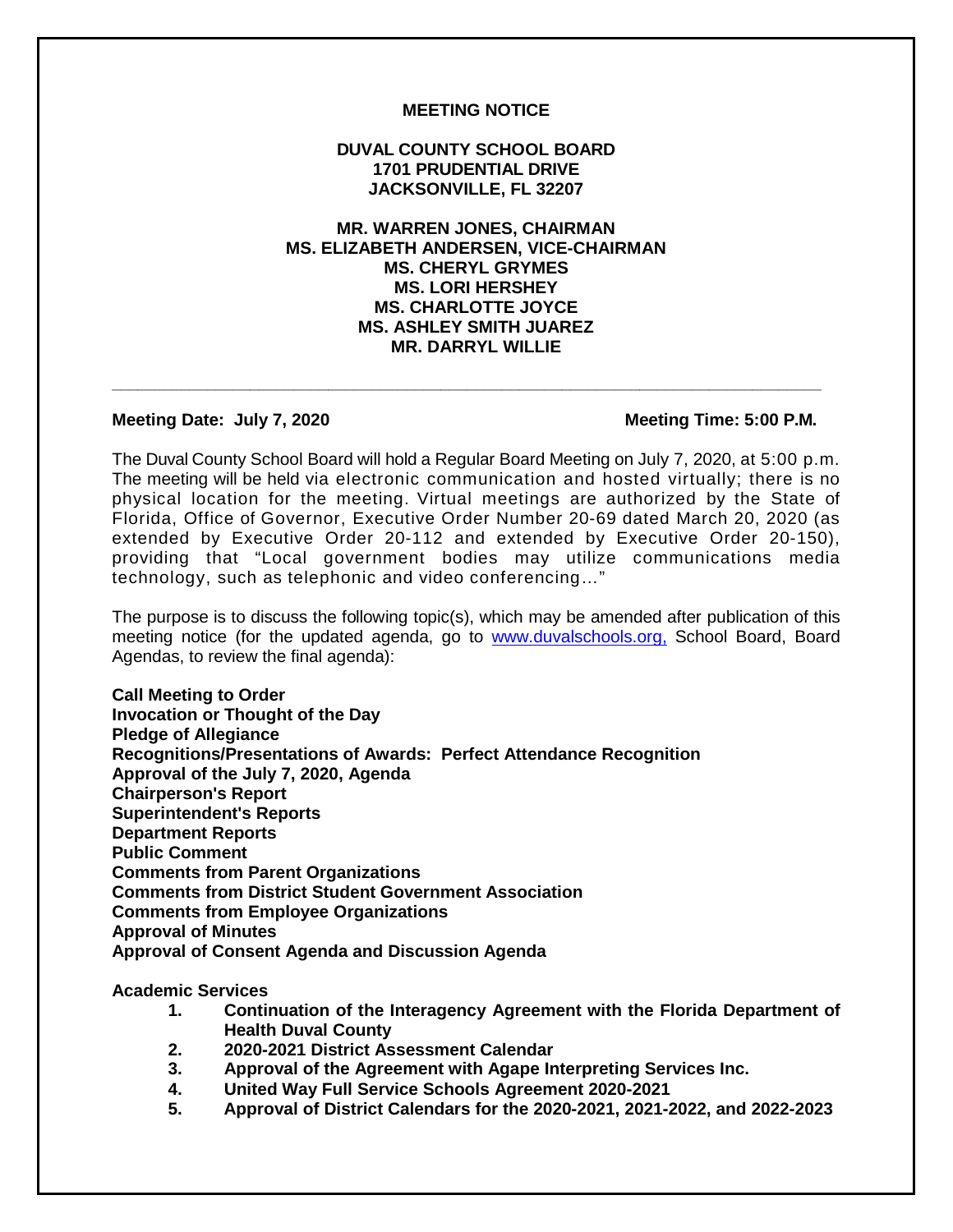## **MEETING NOTICE**

## **DUVAL COUNTY SCHOOL BOARD 1701 PRUDENTIAL DRIVE JACKSONVILLE, FL 32207**

# **MR. WARREN JONES, CHAIRMAN MS. ELIZABETH ANDERSEN, VICE-CHAIRMAN MS. CHERYL GRYMES MS. LORI HERSHEY MS. CHARLOTTE JOYCE MS. ASHLEY SMITH JUAREZ MR. DARRYL WILLIE**

**\_\_\_\_\_\_\_\_\_\_\_\_\_\_\_\_\_\_\_\_\_\_\_\_\_\_\_\_\_\_\_\_\_\_\_\_\_\_\_\_\_\_\_\_\_\_\_\_\_\_\_\_\_\_\_\_\_\_\_\_\_\_\_\_\_\_\_\_\_\_\_\_\_\_\_\_\_\_\_\_\_\_**

### **Meeting Date: July 7, 2020** Meeting Time: 5:00 P.M.

The Duval County School Board will hold a Regular Board Meeting on July 7, 2020, at 5:00 p.m. The meeting will be held via electronic communication and hosted virtually; there is no physical location for the meeting. Virtual meetings are authorized by the State of Florida, Office of Governor, Executive Order Number 20-69 dated March 20, 2020 (as extended by Executive Order 20-112 and extended by Executive Order 20-150), providing that "Local government bodies may utilize communications media technology, such as telephonic and video conferencing…"

The purpose is to discuss the following topic(s), which may be amended after publication of this meeting notice (for the updated agenda, go to www.duvalschools.org, School Board, Board Agendas, to review the final agenda):

**Call Meeting to Order Invocation or Thought of the Day Pledge of Allegiance Recognitions/Presentations of Awards: Perfect Attendance Recognition Approval of the July 7, 2020, Agenda Chairperson's Report Superintendent's Reports Department Reports Public Comment Comments from Parent Organizations Comments from District Student Government Association Comments from Employee Organizations Approval of Minutes Approval of Consent Agenda and Discussion Agenda**

#### **Academic Services**

- **1. Continuation of the Interagency Agreement with the Florida Department of Health Duval County**
- **2. 2020-2021 District Assessment Calendar**
- **3. Approval of the Agreement with Agape Interpreting Services Inc.**
- **4. United Way Full Service Schools Agreement 2020-2021**
- **5. Approval of District Calendars for the 2020-2021, 2021-2022, and 2022-2023**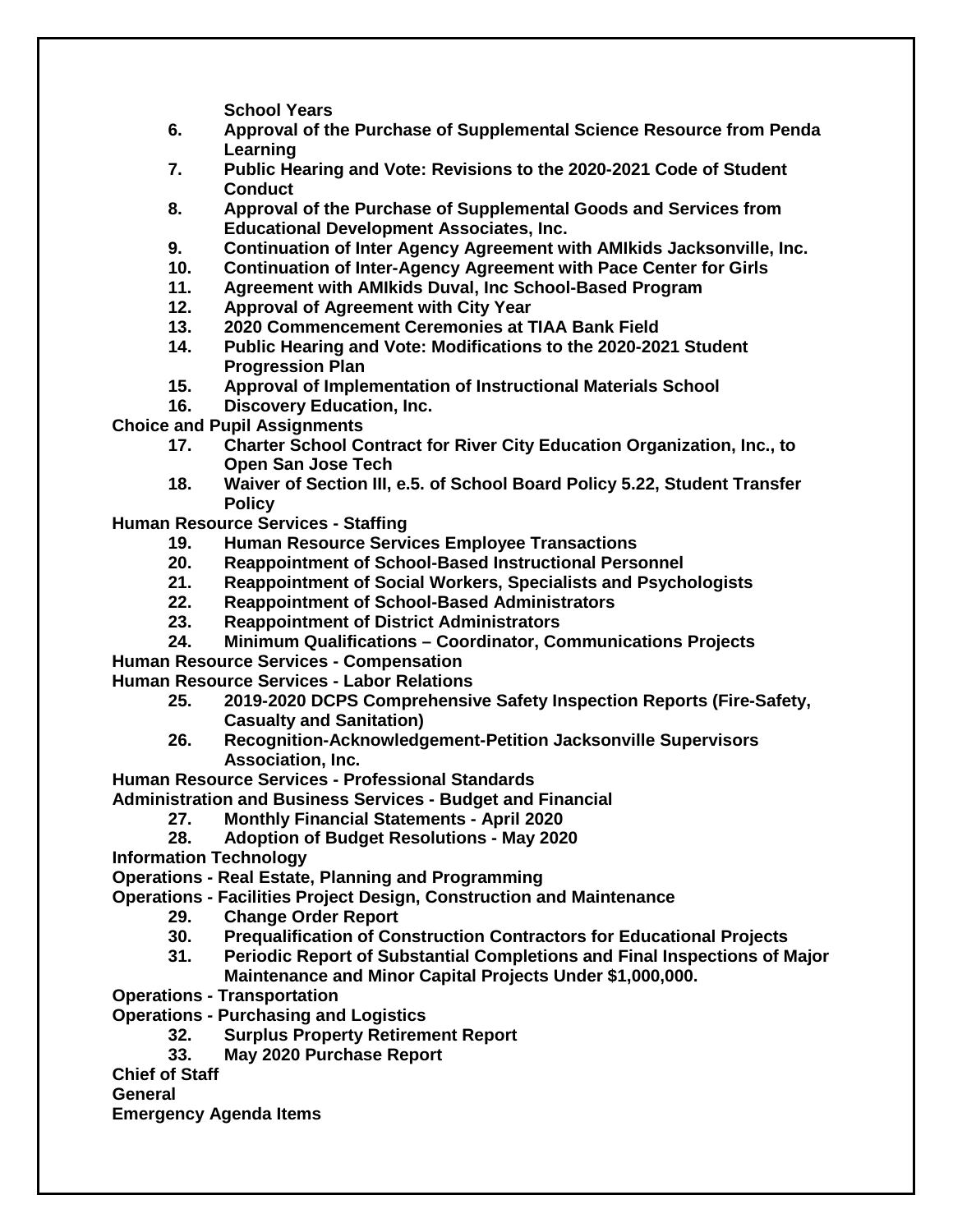**School Years**

- **6. Approval of the Purchase of Supplemental Science Resource from Penda Learning**
- **7. Public Hearing and Vote: Revisions to the 2020-2021 Code of Student Conduct**
- **8. Approval of the Purchase of Supplemental Goods and Services from Educational Development Associates, Inc.**
- **9. Continuation of Inter Agency Agreement with AMIkids Jacksonville, Inc.**
- **10. Continuation of Inter-Agency Agreement with Pace Center for Girls**
- **11. Agreement with AMIkids Duval, Inc School-Based Program**
- **12. Approval of Agreement with City Year**
- **13. 2020 Commencement Ceremonies at TIAA Bank Field**
- **14. Public Hearing and Vote: Modifications to the 2020-2021 Student Progression Plan**
- **15. Approval of Implementation of Instructional Materials School**
- **16. Discovery Education, Inc.**

**Choice and Pupil Assignments**

- **17. Charter School Contract for River City Education Organization, Inc., to Open San Jose Tech**
- **18. Waiver of Section III, e.5. of School Board Policy 5.22, Student Transfer Policy**

**Human Resource Services - Staffing**

- **19. Human Resource Services Employee Transactions**
- 
- **20. Reappointment of School-Based Instructional Personnel 21. Reappointment of Social Workers, Specialists and Psychologists**
- **22. Reappointment of School-Based Administrators**
- **23. Reappointment of District Administrators**
- **24. Minimum Qualifications – Coordinator, Communications Projects**

**Human Resource Services - Compensation**

**Human Resource Services - Labor Relations**

- **25. 2019-2020 DCPS Comprehensive Safety Inspection Reports (Fire-Safety, Casualty and Sanitation)**
- **26. Recognition-Acknowledgement-Petition Jacksonville Supervisors Association, Inc.**

**Human Resource Services - Professional Standards**

**Administration and Business Services - Budget and Financial**

**27. Monthly Financial Statements - April 2020**

**28. Adoption of Budget Resolutions - May 2020**

**Information Technology**

**Operations - Real Estate, Planning and Programming**

- **Operations - Facilities Project Design, Construction and Maintenance**
	- **29. Change Order Report**
	- **30. Prequalification of Construction Contractors for Educational Projects**
	- **31. Periodic Report of Substantial Completions and Final Inspections of Major Maintenance and Minor Capital Projects Under \$1,000,000.**
- **Operations - Transportation**
- **Operations - Purchasing and Logistics**
	- **32. Surplus Property Retirement Report**
	- **33. May 2020 Purchase Report**
- **Chief of Staff**

**General** 

**Emergency Agenda Items**